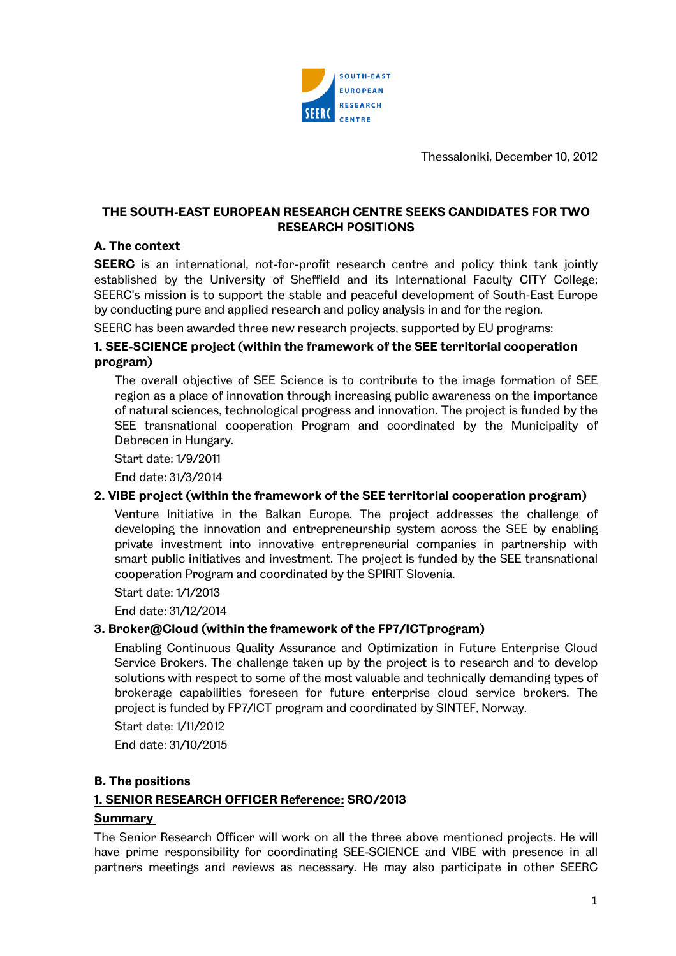

Thessaloniki, December 10, 2012

## THE SOUTH-EAST EUROPEAN RESEARCH CENTRE SEEKS CANDIDATES FOR TWO RESEARCH POSITIONS

## A. The context

**SEERC** is an international, not-for-profit research centre and policy think tank jointly established by the University of Sheffield and its International Faculty CITY College; SEERC's mission is to support the stable and peaceful development of South-East Europe by conducting pure and applied research and policy analysis in and for the region.

SEERC has been awarded three new research projects, supported by EU programs:

### 1. SEE-SCIENCE project (within the framework of the SEE territorial cooperation program)

The overall objective of SEE Science is to contribute to the image formation of SEE region as a place of innovation through increasing public awareness on the importance of natural sciences, technological progress and innovation. The project is funded by the SEE transnational cooperation Program and coordinated by the Municipality of Debrecen in Hungary.

Start date: 1/9/2011

End date: 31/3/2014

### 2. VIBE project (within the framework of the SEE territorial cooperation program)

Venture Initiative in the Balkan Europe. The project addresses the challenge of developing the innovation and entrepreneurship system across the SEE by enabling private investment into innovative entrepreneurial companies in partnership with smart public initiatives and investment. The project is funded by the SEE transnational cooperation Program and coordinated by the SPIRIT Slovenia.

Start date: 1/1/2013

End date: 31/12/2014

### 3. Broker@Cloud (within the framework of the FP7/ICTprogram)

Enabling Continuous Quality Assurance and Optimization in Future Enterprise Cloud Service Brokers. The challenge taken up by the project is to research and to develop solutions with respect to some of the most valuable and technically demanding types of brokerage capabilities foreseen for future enterprise cloud service brokers. The project is funded by FP7/ICT program and coordinated by SINTEF, Norway.

Start date: 1/11/2012

End date: 31/10/2015

### B. The positions

## 1. SENIOR RESEARCH OFFICER Reference: SRO/2013

### **Summary**

The Senior Research Officer will work on all the three above mentioned projects. He will have prime responsibility for coordinating SEE-SCIENCE and VIBE with presence in all partners meetings and reviews as necessary. He may also participate in other SEERC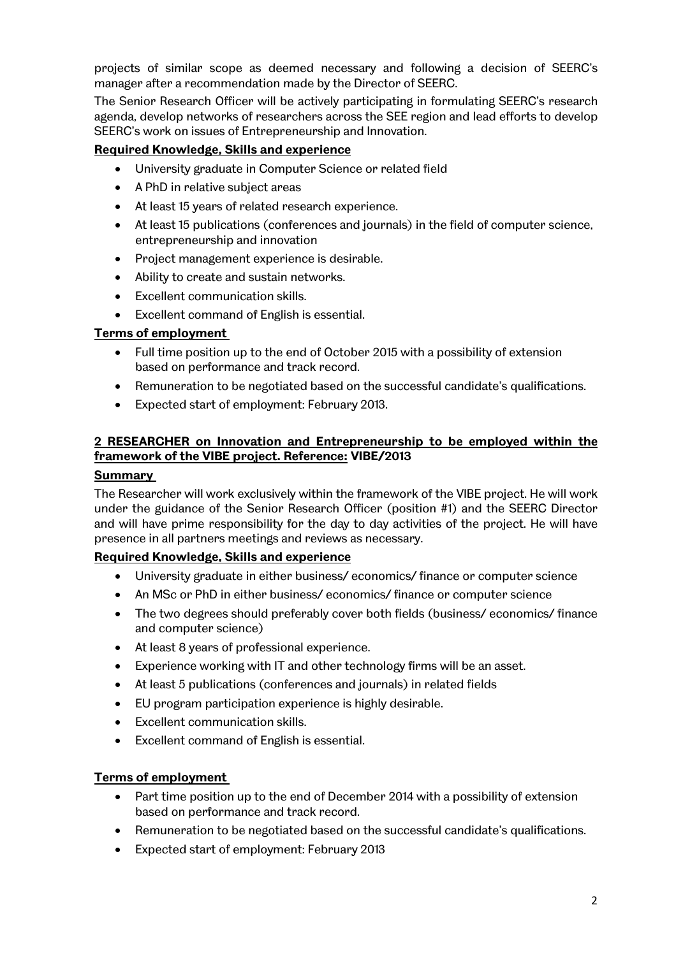projects of similar scope as deemed necessary and following a decision of SEERC's manager after a recommendation made by the Director of SEERC.

The Senior Research Officer will be actively participating in formulating SEERC's research agenda, develop networks of researchers across the SEE region and lead efforts to develop SEERC's work on issues of Entrepreneurship and Innovation.

## Required Knowledge, Skills and experience

- University graduate in Computer Science or related field
- A PhD in relative subject areas
- At least 15 years of related research experience.
- At least 15 publications (conferences and journals) in the field of computer science, entrepreneurship and innovation
- Project management experience is desirable.
- Ability to create and sustain networks.
- Excellent communication skills.
- Excellent command of English is essential.

## Terms of employment

- Full time position up to the end of October 2015 with a possibility of extension based on performance and track record.
- Remuneration to be negotiated based on the successful candidate's qualifications.
- Expected start of employment: February 2013.

# 2 RESEARCHER on Innovation and Entrepreneurship to be employed within the framework of the VIBE project. Reference: VIBE/2013

### Summary

The Researcher will work exclusively within the framework of the VIBE project. He will work under the guidance of the Senior Research Officer (position #1) and the SEERC Director and will have prime responsibility for the day to day activities of the project. He will have presence in all partners meetings and reviews as necessary.

### Required Knowledge, Skills and experience

- University graduate in either business/ economics/ finance or computer science
- An MSc or PhD in either business/economics/ finance or computer science
- The two degrees should preferably cover both fields (business/economics/finance and computer science)
- At least 8 years of professional experience.
- Experience working with IT and other technology firms will be an asset.
- At least 5 publications (conferences and journals) in related fields
- EU program participation experience is highly desirable.
- Excellent communication skills.
- Excellent command of English is essential.

### Terms of employment

- Part time position up to the end of December 2014 with a possibility of extension based on performance and track record.
- Remuneration to be negotiated based on the successful candidate's qualifications.
- Expected start of employment: February 2013